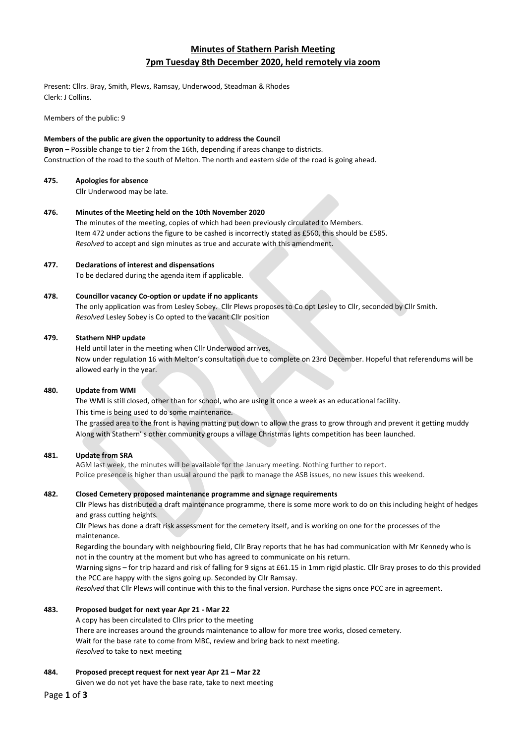# **Minutes of Stathern Parish Meeting 7pm Tuesday 8th December 2020, held remotely via zoom**

Present: Cllrs. Bray, Smith, Plews, Ramsay, Underwood, Steadman & Rhodes Clerk: J Collins.

Members of the public: 9

## **Members of the public are given the opportunity to address the Council**

**Byron –** Possible change to tier 2 from the 16th, depending if areas change to districts. Construction of the road to the south of Melton. The north and eastern side of the road is going ahead.

## **475. Apologies for absence**

Cllr Underwood may be late.

## **476. Minutes of the Meeting held on the 10th November 2020**

The minutes of the meeting, copies of which had been previously circulated to Members. Item 472 under actions the figure to be cashed is incorrectly stated as £560, this should be £585. *Resolved* to accept and sign minutes as true and accurate with this amendment.

## **477. Declarations of interest and dispensations**

To be declared during the agenda item if applicable.

## **478. Councillor vacancy Co-option or update if no applicants**

The only application was from Lesley Sobey. Cllr Plews proposes to Co opt Lesley to Cllr, seconded by Cllr Smith. *Resolved* Lesley Sobey is Co opted to the vacant Cllr position

## **479. Stathern NHP update**

Held until later in the meeting when Cllr Underwood arrives. Now under regulation 16 with Melton's consultation due to complete on 23rd December. Hopeful that referendums will be allowed early in the year.

## **480. Update from WMI**

The WMI is still closed, other than for school, who are using it once a week as an educational facility. This time is being used to do some maintenance.

The grassed area to the front is having matting put down to allow the grass to grow through and prevent it getting muddy Along with Stathern' s other community groups a village Christmas lights competition has been launched.

## **481. Update from SRA**

AGM last week, the minutes will be available for the January meeting. Nothing further to report. Police presence is higher than usual around the park to manage the ASB issues, no new issues this weekend.

## **482. Closed Cemetery proposed maintenance programme and signage requirements**

Cllr Plews has distributed a draft maintenance programme, there is some more work to do on this including height of hedges and grass cutting heights.

Cllr Plews has done a draft risk assessment for the cemetery itself, and is working on one for the processes of the maintenance.

Regarding the boundary with neighbouring field, Cllr Bray reports that he has had communication with Mr Kennedy who is not in the country at the moment but who has agreed to communicate on his return.

Warning signs – for trip hazard and risk of falling for 9 signs at £61.15 in 1mm rigid plastic. Cllr Bray proses to do this provided the PCC are happy with the signs going up. Seconded by Cllr Ramsay.

*Resolved* that Cllr Plews will continue with this to the final version. Purchase the signs once PCC are in agreement.

## **483. Proposed budget for next year Apr 21 - Mar 22**

A copy has been circulated to Cllrs prior to the meeting There are increases around the grounds maintenance to allow for more tree works, closed cemetery. Wait for the base rate to come from MBC, review and bring back to next meeting. *Resolved* to take to next meeting

**484. Proposed precept request for next year Apr 21 – Mar 22**

Given we do not yet have the base rate, take to next meeting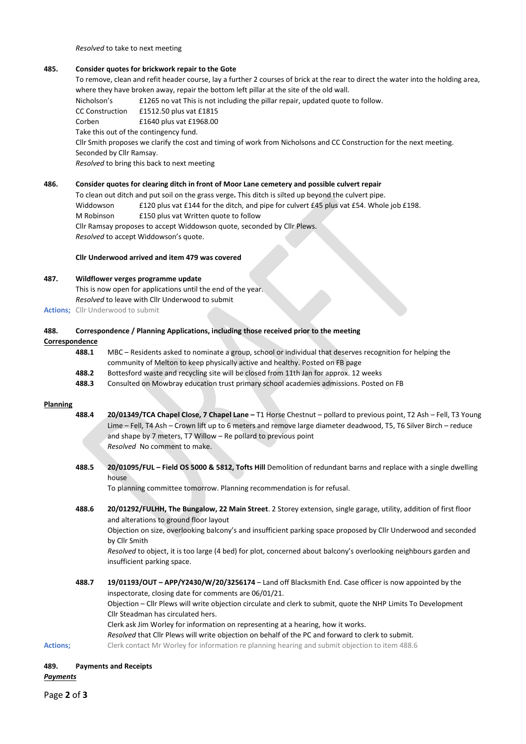*Resolved* to take to next meeting

#### **485. Consider quotes for brickwork repair to the Gote**

To remove, clean and refit header course, lay a further 2 courses of brick at the rear to direct the water into the holding area, where they have broken away, repair the bottom left pillar at the site of the old wall.

Nicholson's £1265 no vat This is not including the pillar repair, updated quote to follow.

CC Construction £1512.50 plus vat £1815 Corben £1640 plus vat £1968.00

Take this out of the contingency fund.

Cllr Smith proposes we clarify the cost and timing of work from Nicholsons and CC Construction for the next meeting. Seconded by Cllr Ramsay.

*Resolved* to bring this back to next meeting

## **486. Consider quotes for clearing ditch in front of Moor Lane cemetery and possible culvert repair**

To clean out ditch and put soil on the grass verge**.** This ditch is silted up beyond the culvert pipe. Widdowson £120 plus vat £144 for the ditch, and pipe for culvert £45 plus vat £54. Whole job £198. M Robinson £150 plus vat Written quote to follow Cllr Ramsay proposes to accept Widdowson quote, seconded by Cllr Plews. *Resolved* to accept Widdowson's quote.

#### **Cllr Underwood arrived and item 479 was covered**

## **487. Wildflower verges programme update**

This is now open for applications until the end of the year. *Resolved* to leave with Cllr Underwood to submit

**Actions;** Cllr Underwood to submit

#### **488. Correspondence / Planning Applications, including those received prior to the meeting**

## **Correspondence**

| 488.1 | MBC – Residents asked to nominate a group, school or individual that deserves recognition for helping the |
|-------|-----------------------------------------------------------------------------------------------------------|
|       | community of Melton to keep physically active and healthy. Posted on FB page                              |
| 488.2 | Bottesford waste and recycling site will be closed from 11th Jan for approx. 12 weeks                     |
| 488.3 | Consulted on Mowbray education trust primary school academies admissions. Posted on FB                    |

#### **Planning**

- **488.4 20/01349/TCA Chapel Close, 7 Chapel Lane –** T1 Horse Chestnut pollard to previous point, T2 Ash Fell, T3 Young Lime – Fell, T4 Ash – Crown lift up to 6 meters and remove large diameter deadwood, T5, T6 Silver Birch – reduce and shape by 7 meters, T7 Willow – Re pollard to previous point *Resolved* No comment to make.
- **488.5 20/01095/FUL – Field OS 5000 & 5812, Tofts Hill** Demolition of redundant barns and replace with a single dwelling house

To planning committee tomorrow. Planning recommendation is for refusal.

**488.6 20/01292/FULHH, The Bungalow, 22 Main Street**. 2 Storey extension, single garage, utility, addition of first floor and alterations to ground floor layout

Objection on size, overlooking balcony's and insufficient parking space proposed by Cllr Underwood and seconded by Cllr Smith

*Resolved* to object, it is too large (4 bed) for plot, concerned about balcony's overlooking neighbours garden and insufficient parking space.

**488.7 19/01193/OUT – APP/Y2430/W/20/3256174** – Land off Blacksmith End. Case officer is now appointed by the inspectorate, closing date for comments are 06/01/21. Objection – Cllr Plews will write objection circulate and clerk to submit, quote the NHP Limits To Development Cllr Steadman has circulated hers. Clerk ask Jim Worley for information on representing at a hearing, how it works. *Resolved* that Cllr Plews will write objection on behalf of the PC and forward to clerk to submit. **Actions;** Clerk contact Mr Worley for information re planning hearing and submit objection to item 488.6

## **489. Payments and Receipts**

*Payments*